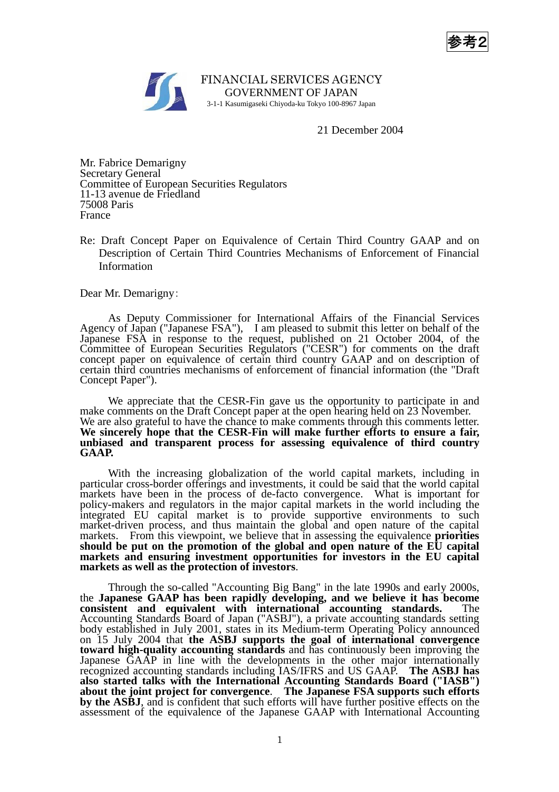参考2



FINANCIAL SERVICES AGENCY GOVERNMENT OF JAPAN 3-1-1 Kasumigaseki Chiyoda-ku Tokyo 100-8967 Japan

21 December 2004

Mr. Fabrice Demarigny Secretary General Committee of European Securities Regulators 11-13 avenue de Friedland 75008 Paris France

Re: Draft Concept Paper on Equivalence of Certain Third Country GAAP and on Description of Certain Third Countries Mechanisms of Enforcement of Financial Information

Dear Mr. Demarigny:

 As Deputy Commissioner for International Affairs of the Financial Services Agency of Japan ("Japanese FSA"), I am pleased to submit this letter on behalf of the Japanese FSA in response to the request, published on 21 October 2004, of the Committee of European Securities Regulators ("CESR") for comments on the draft concept paper on equivalence of certain third country GAAP and on description of certain third countries mechanisms of enforcement of financial information (the "Draft Concept Paper").

 We appreciate that the CESR-Fin gave us the opportunity to participate in and make comments on the Draft Concept paper at the open hearing held on 23 November. We are also grateful to have the chance to make comments through this comments letter. **We sincerely hope that the CESR-Fin will make further efforts to ensure a fair, unbiased and transparent process for assessing equivalence of third country GAAP.**

 With the increasing globalization of the world capital markets, including in particular cross-border offerings and investments, it could be said that the world capital markets have been in the process of de-facto convergence. What is important for policy-makers and regulators in the major capital markets in the world including the integrated EU capital market is to provide supportive environments to such market-driven process, and thus maintain the global and open nature of the capital markets. From this viewpoint, we believe that in assessing the equivalence **priorities should be put on the promotion of the global and open nature of the EU capital markets and ensuring investment opportunities for investors in the EU capital markets as well as the protection of investors**.

 Through the so-called "Accounting Big Bang" in the late 1990s and early 2000s, the **Japanese GAAP has been rapidly developing, and we believe it has become consistent and equivalent with international accounting standards.** The Accounting Standards Board of Japan ("ASBJ"), a private accounting standards setting body established in July 2001, states in its Medium-term Operating Policy announced on 15 July 2004 that **the ASBJ supports the goal of international convergence toward high-quality accounting standards** and has continuously been improving the Japanese GAAP in line with the developments in the other major internationally recognized accounting standards including IAS/IFRS and US GAAP. **The ASBJ has also started talks with the International Accounting Standards Board ("IASB") about the joint project for convergence**. **The Japanese FSA supports such efforts by the ASBJ**, and is confident that such efforts will have further positive effects on the assessment of the equivalence of the Japanese GAAP with International Accounting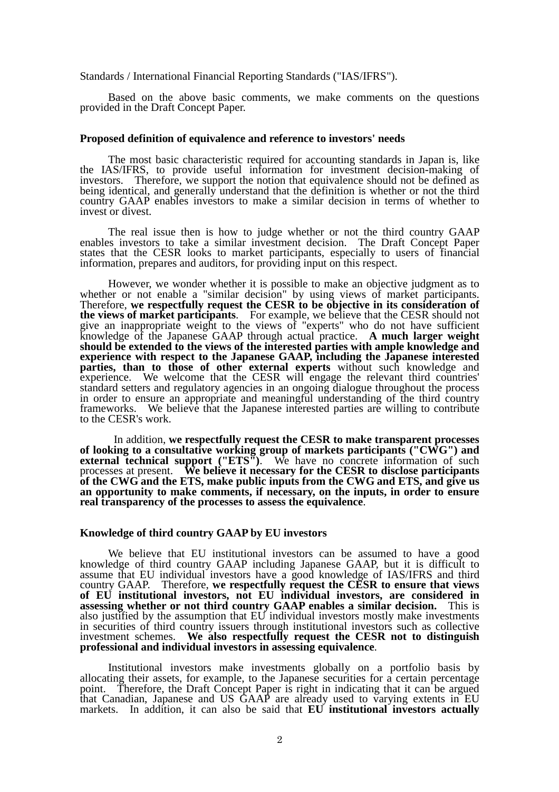## Standards / International Financial Reporting Standards ("IAS/IFRS").

 Based on the above basic comments, we make comments on the questions provided in the Draft Concept Paper.

#### **Proposed definition of equivalence and reference to investors' needs**

The most basic characteristic required for accounting standards in Japan is, like the IAS/IFRS, to provide useful information for investment decision-making of investors. Therefore, we support the notion that equivalence should not be defined as being identical, and generally understand that the definition is whether or not the third country GAAP enables investors to make a similar decision in terms of whether to invest or divest.

 The real issue then is how to judge whether or not the third country GAAP enables investors to take a similar investment decision. The Draft Concept Paper states that the CESR looks to market participants, especially to users of financial information, prepares and auditors, for providing input on this respect.

 However, we wonder whether it is possible to make an objective judgment as to whether or not enable a "similar decision" by using views of market participants. Therefore, **we respectfully request the CESR to be objective in its consideration of the views of market participants**. For example, we believe that the CESR should not give an inappropriate weight to the views of "experts" who do not have sufficient knowledge of the Japanese GAAP through actual practice. **A much larger weight should be extended to the views of the interested parties with ample knowledge and experience with respect to the Japanese GAAP, including the Japanese interested parties, than to those of other external experts** without such knowledge and experience. We welcome that the CESR will engage the relevant third countries' standard setters and regulatory agencies in an ongoing dialogue throughout the process in order to ensure an appropriate and meaningful understanding of the third country frameworks. We believe that the Japanese interested parties are willing to contribute to the CESR's work.

 In addition, **we respectfully request the CESR to make transparent processes of looking to a consultative working group of markets participants ("CWG") and external technical support ("ETS").** We have no concrete information of such processes at present. **We believe it necessary for the CESR to disclose participants of the CWG and the ETS, make public inputs from the CWG and ETS, and give us an opportunity to make comments, if necessary, on the inputs, in order to ensure real transparency of the processes to assess the equivalence**.

# **Knowledge of third country GAAP by EU investors**

 We believe that EU institutional investors can be assumed to have a good knowledge of third country GAAP including Japanese GAAP, but it is difficult to assume that EU individual investors have a good knowledge of IAS/IFRS and third country GAAP. Therefore, **we respectfully request the CESR to ensure that views of EU institutional investors, not EU individual investors, are considered in assessing whether or not third country GAAP enables a similar decision.** This is also justified by the assumption that EU individual investors mostly make investments in securities of third country issuers through institutional investors such as collective investment schemes. **We also respectfully request the CESR not to distinguish professional and individual investors in assessing equivalence**.

 Institutional investors make investments globally on a portfolio basis by allocating their assets, for example, to the Japanese securities for a certain percentage point. Therefore, the Draft Concept Paper is right in indicating that it can be argued that Canadian, Japanese and US GAAP are already used to varying extents in EU markets. In addition, it can also be said that **EU institutional investors actually**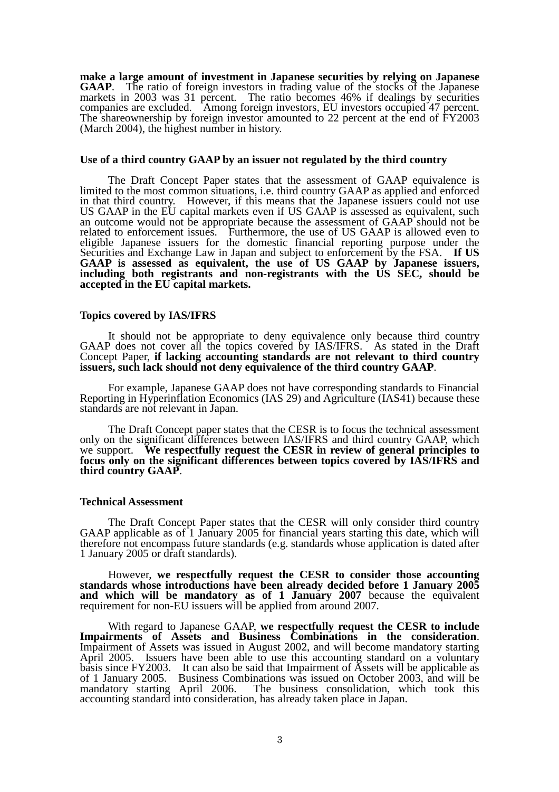**make a large amount of investment in Japanese securities by relying on Japanese GAAP.** The ratio of foreign investors in trading value of the stocks of the Japanese markets in 2003 was 31 percent. The ratio becomes 46% if dealings by securities companies are excluded. Among foreign investors, EU investors occupied 47 percent. The shareownership by foreign investor amounted to 22 percent at the end of FY2003 (March 2004), the highest number in history.

#### **Use of a third country GAAP by an issuer not regulated by the third country**

 The Draft Concept Paper states that the assessment of GAAP equivalence is limited to the most common situations, i.e. third country GAAP as applied and enforced in that third country. However, if this means that the Japanese issuers could not use US GAAP in the EU capital markets even if US GAAP is assessed as equivalent, such an outcome would not be appropriate because the assessment of GAAP should not be related to enforcement issues. Furthermore, the use of US GAAP is allowed even to eligible Japanese issuers for the domestic financial reporting purpose under the Securities and Exchange Law in Japan and subject to enforcement by the FSA. **If US**  GAAP is assessed as equivalent, the use of US GAAP by Japanese issuers, **including both registrants and non-registrants with the US SEC, should be accepted in the EU capital markets.**

## **Topics covered by IAS/IFRS**

 It should not be appropriate to deny equivalence only because third country GAAP does not cover all the topics covered by IAS/IFRS. As stated in the Draft Concept Paper, **if lacking accounting standards are not relevant to third country issuers, such lack should not deny equivalence of the third country GAAP**.

 For example, Japanese GAAP does not have corresponding standards to Financial Reporting in Hyperinflation Economics (IAS 29) and Agriculture (IAS41) because these standards are not relevant in Japan.

 The Draft Concept paper states that the CESR is to focus the technical assessment only on the significant differences between IAS/IFRS and third country GAAP, which we support. **We respectfully request the CESR in review of general principles to**  focus only on the significant differences between topics covered by IAS/IFRS and **third country GAAP**.

## **Technical Assessment**

 The Draft Concept Paper states that the CESR will only consider third country GAAP applicable as of 1 January 2005 for financial years starting this date, which will therefore not encompass future standards (e.g. standards whose application is dated after 1 January 2005 or draft standards).

 However, **we respectfully request the CESR to consider those accounting standards whose introductions have been already decided before 1 January 2005 and which will be mandatory as of 1 January 2007** because the equivalent requirement for non-EU issuers will be applied from around 2007.

 With regard to Japanese GAAP, **we respectfully request the CESR to include Impairments of Assets and Business Combinations in the consideration**. Impairment of Assets was issued in August 2002, and will become mandatory starting April 2005. Issuers have been able to use this accounting standard on a voluntary basis since FY2003. It can also be said that Impairment of Assets will be applicable as of 1 January 2005. Business Combinations was issued on October 2003, and will be mandatory starting April 2006. The business consolidation, which took this mandatory starting April 2006. The business consolidation, which took this accounting standard into consideration, has already taken place in Japan.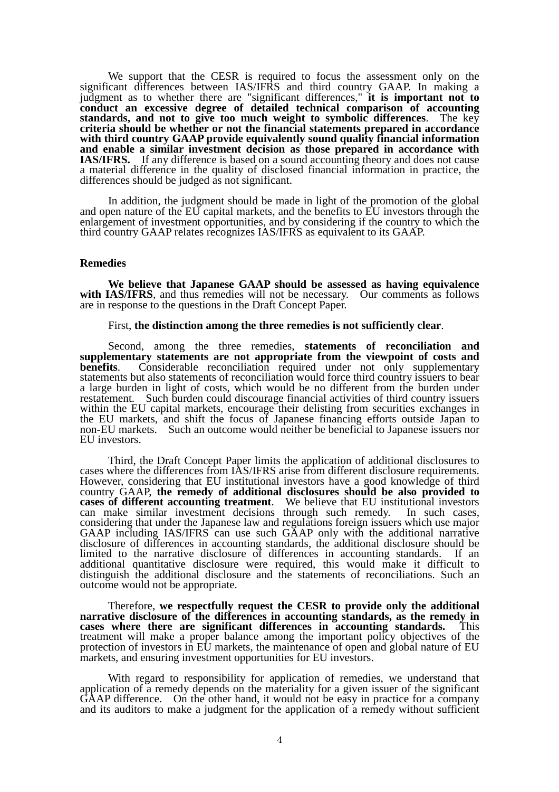We support that the CESR is required to focus the assessment only on the significant differences between IAS/IFRS and third country GAAP. In making a judgment as to whether there are "significant differences," **it is important not to conduct an excessive degree of detailed technical comparison of accounting standards, and not to give too much weight to symbolic differences**. The key **criteria should be whether or not the financial statements prepared in accordance with third country GAAP provide equivalently sound quality financial information and enable a similar investment decision as those prepared in accordance with IAS/IFRS.** If any difference is based on a sound accounting theory and does not cause a material difference in the quality of disclosed financial information in practice, the differences should be judged as not significant.

 In addition, the judgment should be made in light of the promotion of the global and open nature of the EU capital markets, and the benefits to EU investors through the enlargement of investment opportunities, and by considering if the country to which the third country GAAP relates recognizes IAS/IFRS as equivalent to its GAAP.

#### **Remedies**

 **We believe that Japanese GAAP should be assessed as having equivalence**  with IAS/IFRS, and thus remedies will not be necessary. Our comments as follows are in response to the questions in the Draft Concept Paper.

First, **the distinction among the three remedies is not sufficiently clear**.<br>Second, among the three remedies, **statements** of **reconciliation** and **supplementary statements are not appropriate from the viewpoint of costs and**  Considerable reconciliation required under not only supplementary statements but also statements of reconciliation would force third country issuers to bear a large burden in light of costs, which would be no different from the burden under restatement. Such burden could discourage financial activities of third country issuers within the EU capital markets, encourage their delisting from securities exchanges in the EU markets, and shift the focus of Japanese financing efforts outside Japan to non-EU markets. Such an outcome would neither be beneficial to Japanese issuers nor EU investors.

 Third, the Draft Concept Paper limits the application of additional disclosures to cases where the differences from IAS/IFRS arise from different disclosure requirements. However, considering that EU institutional investors have a good knowledge of third country GAAP, **the remedy of additional disclosures should be also provided to cases of different accounting treatment**. We believe that EU institutional investors can make similar investment decisions through such remedy. In such cases, considering that under the Japanese law and regulations foreign issuers which use major GAAP including IAS/IFRS can use such GAAP only with the additional narrative disclosure of differences in accounting standards, the additional disclosure should be limited to the narrative disclosure of differences in accounting standards. If an additional quantitative disclosure were required, this would make it difficult to distinguish the additional disclosure and the statements of reconciliations. Such an outcome would not be appropriate.

 Therefore, **we respectfully request the CESR to provide only the additional narrative disclosure of the differences in accounting standards, as the remedy in cases where there are significant differences in accounting standards.** This treatment will make a proper balance among the important policy objectives of the protection of investors in EU markets, the maintenance of open and global nature of EU markets, and ensuring investment opportunities for EU investors.

 With regard to responsibility for application of remedies, we understand that application of a remedy depends on the materiality for a given issuer of the significant GAAP difference. On the other hand, it would not be easy in practice for a company and its auditors to make a judgment for the application of a remedy without sufficient